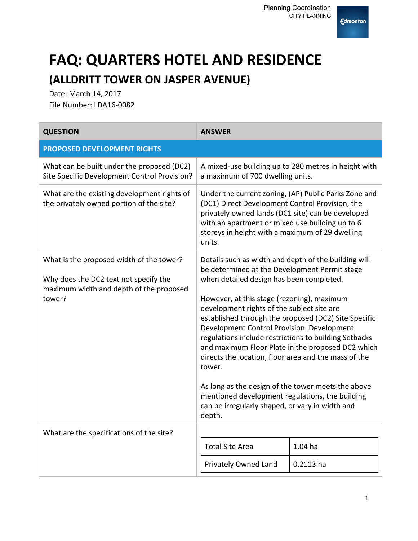

## **FAQ: QUARTERS HOTEL AND RESIDENCE (ALLDRITT TOWER ON JASPER AVENUE)**

Date: March 14, 2017 File Number: LDA16-0082

| <b>QUESTION</b>                                                                                                                        | <b>ANSWER</b>                                                                                                                                                                                                                                                                                                                                                                                                                                                                                                                                                                                                                                                                                             |             |
|----------------------------------------------------------------------------------------------------------------------------------------|-----------------------------------------------------------------------------------------------------------------------------------------------------------------------------------------------------------------------------------------------------------------------------------------------------------------------------------------------------------------------------------------------------------------------------------------------------------------------------------------------------------------------------------------------------------------------------------------------------------------------------------------------------------------------------------------------------------|-------------|
| <b>PROPOSED DEVELOPMENT RIGHTS</b>                                                                                                     |                                                                                                                                                                                                                                                                                                                                                                                                                                                                                                                                                                                                                                                                                                           |             |
| What can be built under the proposed (DC2)<br>Site Specific Development Control Provision?                                             | A mixed-use building up to 280 metres in height with<br>a maximum of 700 dwelling units.                                                                                                                                                                                                                                                                                                                                                                                                                                                                                                                                                                                                                  |             |
| What are the existing development rights of<br>the privately owned portion of the site?                                                | Under the current zoning, (AP) Public Parks Zone and<br>(DC1) Direct Development Control Provision, the<br>privately owned lands (DC1 site) can be developed<br>with an apartment or mixed use building up to 6<br>storeys in height with a maximum of 29 dwelling<br>units.                                                                                                                                                                                                                                                                                                                                                                                                                              |             |
| What is the proposed width of the tower?<br>Why does the DC2 text not specify the<br>maximum width and depth of the proposed<br>tower? | Details such as width and depth of the building will<br>be determined at the Development Permit stage<br>when detailed design has been completed.<br>However, at this stage (rezoning), maximum<br>development rights of the subject site are<br>established through the proposed (DC2) Site Specific<br>Development Control Provision. Development<br>regulations include restrictions to building Setbacks<br>and maximum Floor Plate in the proposed DC2 which<br>directs the location, floor area and the mass of the<br>tower.<br>As long as the design of the tower meets the above<br>mentioned development regulations, the building<br>can be irregularly shaped, or vary in width and<br>depth. |             |
| What are the specifications of the site?                                                                                               |                                                                                                                                                                                                                                                                                                                                                                                                                                                                                                                                                                                                                                                                                                           |             |
|                                                                                                                                        | <b>Total Site Area</b>                                                                                                                                                                                                                                                                                                                                                                                                                                                                                                                                                                                                                                                                                    | $1.04$ ha   |
|                                                                                                                                        | Privately Owned Land                                                                                                                                                                                                                                                                                                                                                                                                                                                                                                                                                                                                                                                                                      | $0.2113$ ha |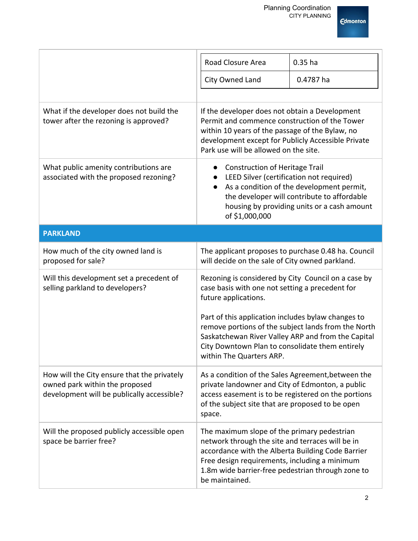

|                                                                                                                             | Road Closure Area                                                                                                                                                                                                                                                            | $0.35$ ha                                                                                                                               |
|-----------------------------------------------------------------------------------------------------------------------------|------------------------------------------------------------------------------------------------------------------------------------------------------------------------------------------------------------------------------------------------------------------------------|-----------------------------------------------------------------------------------------------------------------------------------------|
|                                                                                                                             | City Owned Land                                                                                                                                                                                                                                                              | 0.4787 ha                                                                                                                               |
|                                                                                                                             |                                                                                                                                                                                                                                                                              |                                                                                                                                         |
| What if the developer does not build the<br>tower after the rezoning is approved?                                           | If the developer does not obtain a Development<br>Permit and commence construction of the Tower<br>within 10 years of the passage of the Bylaw, no<br>development except for Publicly Accessible Private<br>Park use will be allowed on the site.                            |                                                                                                                                         |
| What public amenity contributions are<br>associated with the proposed rezoning?                                             | <b>Construction of Heritage Trail</b><br>LEED Silver (certification not required)<br>$\bullet$<br>of \$1,000,000                                                                                                                                                             | As a condition of the development permit,<br>the developer will contribute to affordable<br>housing by providing units or a cash amount |
| <b>PARKLAND</b>                                                                                                             |                                                                                                                                                                                                                                                                              |                                                                                                                                         |
| How much of the city owned land is<br>proposed for sale?                                                                    | The applicant proposes to purchase 0.48 ha. Council<br>will decide on the sale of City owned parkland.                                                                                                                                                                       |                                                                                                                                         |
| Will this development set a precedent of<br>selling parkland to developers?                                                 | Rezoning is considered by City Council on a case by<br>case basis with one not setting a precedent for<br>future applications.                                                                                                                                               |                                                                                                                                         |
|                                                                                                                             | Part of this application includes bylaw changes to<br>remove portions of the subject lands from the North<br>Saskatchewan River Valley ARP and from the Capital<br>City Downtown Plan to consolidate them entirely<br>within The Quarters ARP.                               |                                                                                                                                         |
| How will the City ensure that the privately<br>owned park within the proposed<br>development will be publically accessible? | As a condition of the Sales Agreement, between the<br>private landowner and City of Edmonton, a public<br>access easement is to be registered on the portions<br>of the subject site that are proposed to be open<br>space.                                                  |                                                                                                                                         |
| Will the proposed publicly accessible open<br>space be barrier free?                                                        | The maximum slope of the primary pedestrian<br>network through the site and terraces will be in<br>accordance with the Alberta Building Code Barrier<br>Free design requirements, including a minimum<br>1.8m wide barrier-free pedestrian through zone to<br>be maintained. |                                                                                                                                         |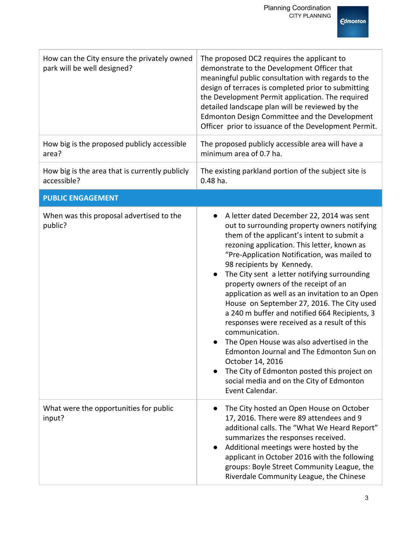| How can the City ensure the privately owned<br>park will be well designed? | The proposed DC2 requires the applicant to<br>demonstrate to the Development Officer that<br>meaningful public consultation with regards to the<br>design of terraces is completed prior to submitting<br>the Development Permit application. The required<br>detailed landscape plan will be reviewed by the<br>Edmonton Design Committee and the Development<br>Officer prior to issuance of the Development Permit.                                                                                                                                                                                                                                                                                                                                                                                                 |  |
|----------------------------------------------------------------------------|------------------------------------------------------------------------------------------------------------------------------------------------------------------------------------------------------------------------------------------------------------------------------------------------------------------------------------------------------------------------------------------------------------------------------------------------------------------------------------------------------------------------------------------------------------------------------------------------------------------------------------------------------------------------------------------------------------------------------------------------------------------------------------------------------------------------|--|
| How big is the proposed publicly accessible<br>area?                       | The proposed publicly accessible area will have a<br>minimum area of 0.7 ha.                                                                                                                                                                                                                                                                                                                                                                                                                                                                                                                                                                                                                                                                                                                                           |  |
| How big is the area that is currently publicly<br>accessible?              | The existing parkland portion of the subject site is<br>$0.48$ ha.                                                                                                                                                                                                                                                                                                                                                                                                                                                                                                                                                                                                                                                                                                                                                     |  |
| <b>PUBLIC ENGAGEMENT</b>                                                   |                                                                                                                                                                                                                                                                                                                                                                                                                                                                                                                                                                                                                                                                                                                                                                                                                        |  |
| When was this proposal advertised to the<br>public?                        | A letter dated December 22, 2014 was sent<br>$\bullet$<br>out to surrounding property owners notifying<br>them of the applicant's intent to submit a<br>rezoning application. This letter, known as<br>"Pre-Application Notification, was mailed to<br>98 recipients by Kennedy.<br>The City sent a letter notifying surrounding<br>property owners of the receipt of an<br>application as well as an invitation to an Open<br>House on September 27, 2016. The City used<br>a 240 m buffer and notified 664 Recipients, 3<br>responses were received as a result of this<br>communication.<br>The Open House was also advertised in the<br>Edmonton Journal and The Edmonton Sun on<br>October 14, 2016<br>The City of Edmonton posted this project on<br>social media and on the City of Edmonton<br>Event Calendar. |  |
| What were the opportunities for public<br>input?                           | The City hosted an Open House on October<br>17, 2016. There were 89 attendees and 9<br>additional calls. The "What We Heard Report"<br>summarizes the responses received.<br>Additional meetings were hosted by the<br>applicant in October 2016 with the following<br>groups: Boyle Street Community League, the<br>Riverdale Community League, the Chinese                                                                                                                                                                                                                                                                                                                                                                                                                                                           |  |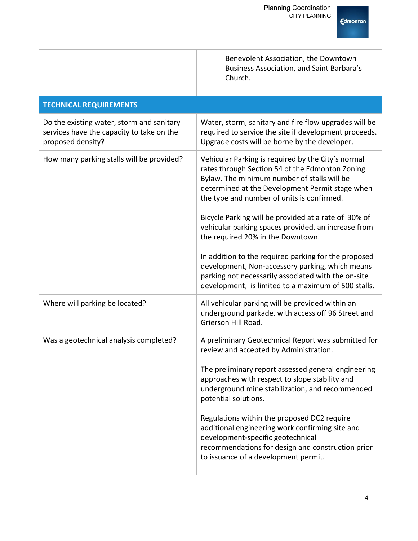

|                                                                                                             | Benevolent Association, the Downtown<br>Business Association, and Saint Barbara's<br>Church.                                                                                                                                                                                                                                                                                                                                                                                                                                                                                                                                       |
|-------------------------------------------------------------------------------------------------------------|------------------------------------------------------------------------------------------------------------------------------------------------------------------------------------------------------------------------------------------------------------------------------------------------------------------------------------------------------------------------------------------------------------------------------------------------------------------------------------------------------------------------------------------------------------------------------------------------------------------------------------|
| <b>TECHNICAL REQUIREMENTS</b>                                                                               |                                                                                                                                                                                                                                                                                                                                                                                                                                                                                                                                                                                                                                    |
| Do the existing water, storm and sanitary<br>services have the capacity to take on the<br>proposed density? | Water, storm, sanitary and fire flow upgrades will be<br>required to service the site if development proceeds.<br>Upgrade costs will be borne by the developer.                                                                                                                                                                                                                                                                                                                                                                                                                                                                    |
| How many parking stalls will be provided?                                                                   | Vehicular Parking is required by the City's normal<br>rates through Section 54 of the Edmonton Zoning<br>Bylaw. The minimum number of stalls will be<br>determined at the Development Permit stage when<br>the type and number of units is confirmed.<br>Bicycle Parking will be provided at a rate of 30% of<br>vehicular parking spaces provided, an increase from<br>the required 20% in the Downtown.<br>In addition to the required parking for the proposed<br>development, Non-accessory parking, which means<br>parking not necessarily associated with the on-site<br>development, is limited to a maximum of 500 stalls. |
| Where will parking be located?                                                                              | All vehicular parking will be provided within an<br>underground parkade, with access off 96 Street and<br>Grierson Hill Road.                                                                                                                                                                                                                                                                                                                                                                                                                                                                                                      |
| Was a geotechnical analysis completed?                                                                      | A preliminary Geotechnical Report was submitted for<br>review and accepted by Administration.<br>The preliminary report assessed general engineering<br>approaches with respect to slope stability and<br>underground mine stabilization, and recommended<br>potential solutions.<br>Regulations within the proposed DC2 require<br>additional engineering work confirming site and<br>development-specific geotechnical<br>recommendations for design and construction prior<br>to issuance of a development permit.                                                                                                              |